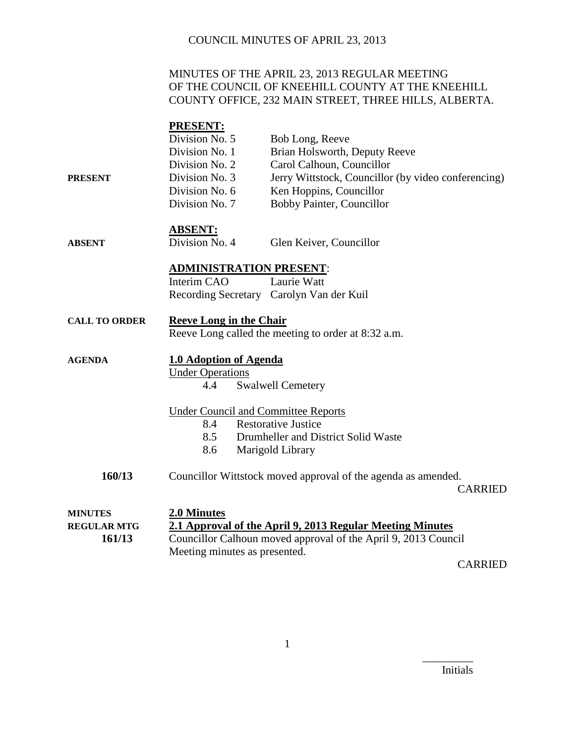## MINUTES OF THE APRIL 23, 2013 REGULAR MEETING OF THE COUNCIL OF KNEEHILL COUNTY AT THE KNEEHILL COUNTY OFFICE, 232 MAIN STREET, THREE HILLS, ALBERTA.

|                      | <b>PRESENT:</b>                            |                                                                |
|----------------------|--------------------------------------------|----------------------------------------------------------------|
|                      | Division No. 5                             | Bob Long, Reeve                                                |
|                      | Division No. 1                             | Brian Holsworth, Deputy Reeve                                  |
|                      | Division No. 2                             | Carol Calhoun, Councillor                                      |
| <b>PRESENT</b>       | Division No. 3                             | Jerry Wittstock, Councillor (by video conferencing)            |
|                      | Division No. 6                             | Ken Hoppins, Councillor                                        |
|                      | Division No. 7                             | <b>Bobby Painter, Councillor</b>                               |
|                      | <b>ABSENT:</b>                             |                                                                |
| <b>ABSENT</b>        | Division No. 4                             | Glen Keiver, Councillor                                        |
|                      | <b>ADMINISTRATION PRESENT:</b>             |                                                                |
|                      | Interim CAO                                | Laurie Watt                                                    |
|                      |                                            | Recording Secretary Carolyn Van der Kuil                       |
| <b>CALL TO ORDER</b> | <b>Reeve Long in the Chair</b>             |                                                                |
|                      |                                            | Reeve Long called the meeting to order at 8:32 a.m.            |
| <b>AGENDA</b>        | <b>1.0 Adoption of Agenda</b>              |                                                                |
|                      | <b>Under Operations</b>                    |                                                                |
|                      | 4.4                                        | <b>Swalwell Cemetery</b>                                       |
|                      | <b>Under Council and Committee Reports</b> |                                                                |
|                      | 8.4                                        | <b>Restorative Justice</b>                                     |
|                      | 8.5                                        | Drumheller and District Solid Waste                            |
|                      | 8.6                                        | Marigold Library                                               |
|                      |                                            |                                                                |
| 160/13               |                                            | Councillor Wittstock moved approval of the agenda as amended.  |
|                      |                                            | <b>CARRIED</b>                                                 |
| <b>MINUTES</b>       | 2.0 Minutes                                |                                                                |
| <b>REGULAR MTG</b>   |                                            | 2.1 Approval of the April 9, 2013 Regular Meeting Minutes      |
| 161/13               |                                            | Councillor Calhoun moved approval of the April 9, 2013 Council |
|                      | Meeting minutes as presented.              |                                                                |

CARRIED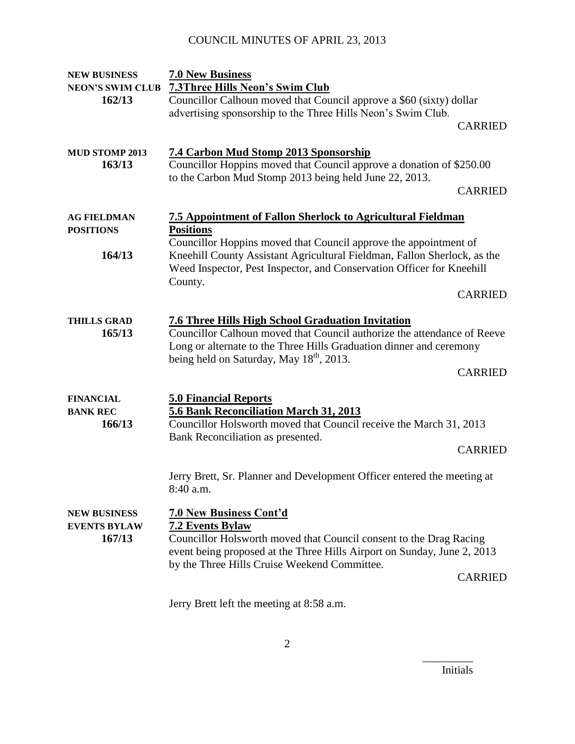| <b>NEW BUSINESS</b>           | <b>7.0 New Business</b>                                                                       |                |
|-------------------------------|-----------------------------------------------------------------------------------------------|----------------|
| <b>NEON'S SWIM CLUB</b>       | <b>7.3Three Hills Neon's Swim Club</b>                                                        |                |
| 162/13                        | Councillor Calhoun moved that Council approve a \$60 (sixty) dollar                           |                |
|                               | advertising sponsorship to the Three Hills Neon's Swim Club.                                  |                |
|                               |                                                                                               | <b>CARRIED</b> |
|                               |                                                                                               |                |
| <b>MUD STOMP 2013</b>         | 7.4 Carbon Mud Stomp 2013 Sponsorship                                                         |                |
| 163/13                        | Councillor Hoppins moved that Council approve a donation of \$250.00                          |                |
|                               | to the Carbon Mud Stomp 2013 being held June 22, 2013.                                        |                |
|                               |                                                                                               | <b>CARRIED</b> |
|                               |                                                                                               |                |
| <b>AG FIELDMAN</b>            | <b>7.5 Appointment of Fallon Sherlock to Agricultural Fieldman</b>                            |                |
| <b>POSITIONS</b>              | <b>Positions</b>                                                                              |                |
|                               | Councillor Hoppins moved that Council approve the appointment of                              |                |
| 164/13                        | Kneehill County Assistant Agricultural Fieldman, Fallon Sherlock, as the                      |                |
|                               | Weed Inspector, Pest Inspector, and Conservation Officer for Kneehill                         |                |
|                               | County.                                                                                       |                |
|                               |                                                                                               | <b>CARRIED</b> |
|                               |                                                                                               |                |
| <b>THILLS GRAD</b>            | <b>7.6 Three Hills High School Graduation Invitation</b>                                      |                |
| 165/13                        | Councillor Calhoun moved that Council authorize the attendance of Reeve                       |                |
|                               | Long or alternate to the Three Hills Graduation dinner and ceremony                           |                |
|                               | being held on Saturday, May 18 <sup>th</sup> , 2013.                                          |                |
|                               |                                                                                               | <b>CARRIED</b> |
|                               |                                                                                               |                |
| <b>FINANCIAL</b>              | <b>5.0 Financial Reports</b>                                                                  |                |
| <b>BANK REC</b>               | 5.6 Bank Reconciliation March 31, 2013                                                        |                |
| 166/13                        | Councillor Holsworth moved that Council receive the March 31, 2013                            |                |
|                               | Bank Reconciliation as presented.                                                             |                |
|                               |                                                                                               | <b>CARRIED</b> |
|                               |                                                                                               |                |
|                               | Jerry Brett, Sr. Planner and Development Officer entered the meeting at                       |                |
|                               | 8:40 a.m                                                                                      |                |
|                               |                                                                                               |                |
| <b>NEW BUSINESS</b>           | <b>7.0 New Business Cont'd</b>                                                                |                |
| <b>EVENTS BYLAW</b><br>167/13 | <b>7.2 Events Bylaw</b><br>Councillor Holsworth moved that Council consent to the Drag Racing |                |
|                               | event being proposed at the Three Hills Airport on Sunday, June 2, 2013                       |                |
|                               | by the Three Hills Cruise Weekend Committee.                                                  |                |
|                               |                                                                                               | <b>CARRIED</b> |
|                               |                                                                                               |                |
|                               | Jerry Brett left the meeting at 8:58 a.m.                                                     |                |
|                               |                                                                                               |                |

Initials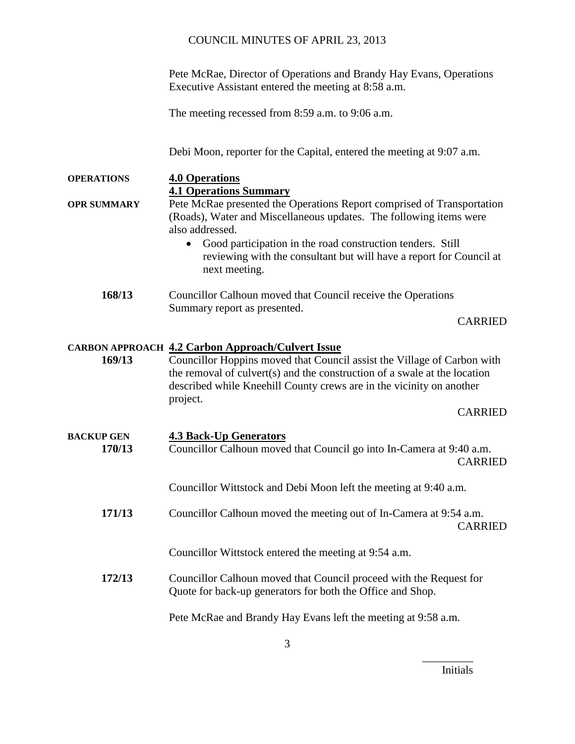Pete McRae, Director of Operations and Brandy Hay Evans, Operations Executive Assistant entered the meeting at 8:58 a.m.

The meeting recessed from 8:59 a.m. to 9:06 a.m.

Debi Moon, reporter for the Capital, entered the meeting at 9:07 a.m.

**OPERATIONS 4.0 Operations**

**4.1 Operations Summary**

**OPR SUMMARY** Pete McRae presented the Operations Report comprised of Transportation (Roads), Water and Miscellaneous updates. The following items were also addressed.

- Good participation in the road construction tenders. Still reviewing with the consultant but will have a report for Council at next meeting.
- **168/13** Councillor Calhoun moved that Council receive the Operations Summary report as presented.

CARRIED

### **CARBON APPROACH 4.2 Carbon Approach/Culvert Issue**

**169/13** Councillor Hoppins moved that Council assist the Village of Carbon with the removal of culvert(s) and the construction of a swale at the location described while Kneehill County crews are in the vicinity on another project.

CARRIED

| BACKUP GEN<br>170/13 | <b>4.3 Back-Up Generators</b><br>Councillor Calhoun moved that Council go into In-Camera at 9:40 a.m.<br><b>CARRIED</b>          |
|----------------------|----------------------------------------------------------------------------------------------------------------------------------|
|                      | Councillor Wittstock and Debi Moon left the meeting at 9:40 a.m.                                                                 |
| 171/13               | Councillor Calhoun moved the meeting out of In-Camera at 9:54 a.m.<br><b>CARRIED</b>                                             |
|                      | Councillor Wittstock entered the meeting at 9:54 a.m.                                                                            |
| 172/13               | Councillor Calhoun moved that Council proceed with the Request for<br>Quote for back-up generators for both the Office and Shop. |

Pete McRae and Brandy Hay Evans left the meeting at 9:58 a.m.

Initials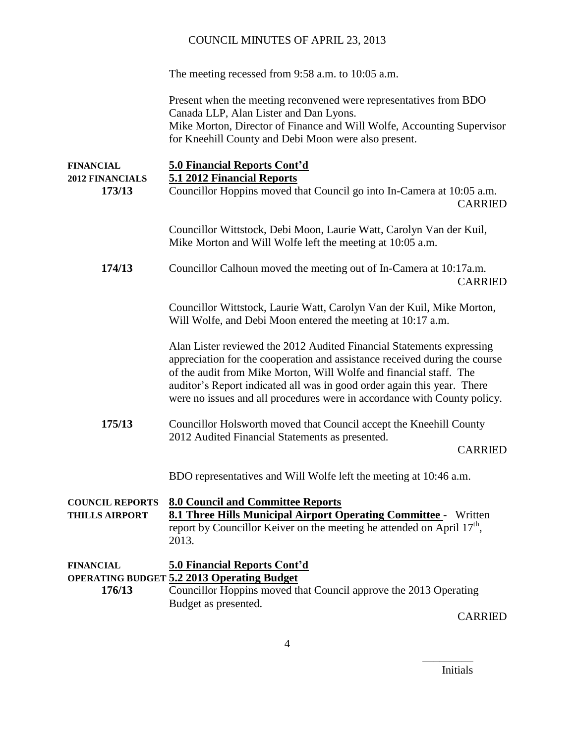The meeting recessed from 9:58 a.m. to 10:05 a.m.

Present when the meeting reconvened were representatives from BDO Canada LLP, Alan Lister and Dan Lyons. Mike Morton, Director of Finance and Will Wolfe, Accounting Supervisor for Kneehill County and Debi Moon were also present.

| <b>FINANCIAL</b><br><b>2012 FINANCIALS</b>      | <b>5.0 Financial Reports Cont'd</b><br>5.1 2012 Financial Reports                                                                                                                                                                                                                                                                                                                |                |
|-------------------------------------------------|----------------------------------------------------------------------------------------------------------------------------------------------------------------------------------------------------------------------------------------------------------------------------------------------------------------------------------------------------------------------------------|----------------|
| 173/13                                          | Councillor Hoppins moved that Council go into In-Camera at 10:05 a.m.                                                                                                                                                                                                                                                                                                            | <b>CARRIED</b> |
|                                                 | Councillor Wittstock, Debi Moon, Laurie Watt, Carolyn Van der Kuil,<br>Mike Morton and Will Wolfe left the meeting at 10:05 a.m.                                                                                                                                                                                                                                                 |                |
| 174/13                                          | Councillor Calhoun moved the meeting out of In-Camera at 10:17a.m.                                                                                                                                                                                                                                                                                                               | <b>CARRIED</b> |
|                                                 | Councillor Wittstock, Laurie Watt, Carolyn Van der Kuil, Mike Morton,<br>Will Wolfe, and Debi Moon entered the meeting at 10:17 a.m.                                                                                                                                                                                                                                             |                |
|                                                 | Alan Lister reviewed the 2012 Audited Financial Statements expressing<br>appreciation for the cooperation and assistance received during the course<br>of the audit from Mike Morton, Will Wolfe and financial staff. The<br>auditor's Report indicated all was in good order again this year. There<br>were no issues and all procedures were in accordance with County policy. |                |
| 175/13                                          | Councillor Holsworth moved that Council accept the Kneehill County<br>2012 Audited Financial Statements as presented.                                                                                                                                                                                                                                                            | <b>CARRIED</b> |
|                                                 | BDO representatives and Will Wolfe left the meeting at 10:46 a.m.                                                                                                                                                                                                                                                                                                                |                |
| <b>COUNCIL REPORTS</b><br><b>THILLS AIRPORT</b> | <b>8.0 Council and Committee Reports</b><br>8.1 Three Hills Municipal Airport Operating Committee - Written<br>report by Councillor Keiver on the meeting he attended on April 17 <sup>th</sup> ,<br>2013.                                                                                                                                                                       |                |
| <b>FINANCIAL</b><br>176/13                      | <b>5.0 Financial Reports Cont'd</b><br><b>OPERATING BUDGET 5.2 2013 Operating Budget</b><br>Councillor Hoppins moved that Council approve the 2013 Operating<br>Budget as presented.                                                                                                                                                                                             |                |
|                                                 |                                                                                                                                                                                                                                                                                                                                                                                  | <b>CARRIED</b> |

Initials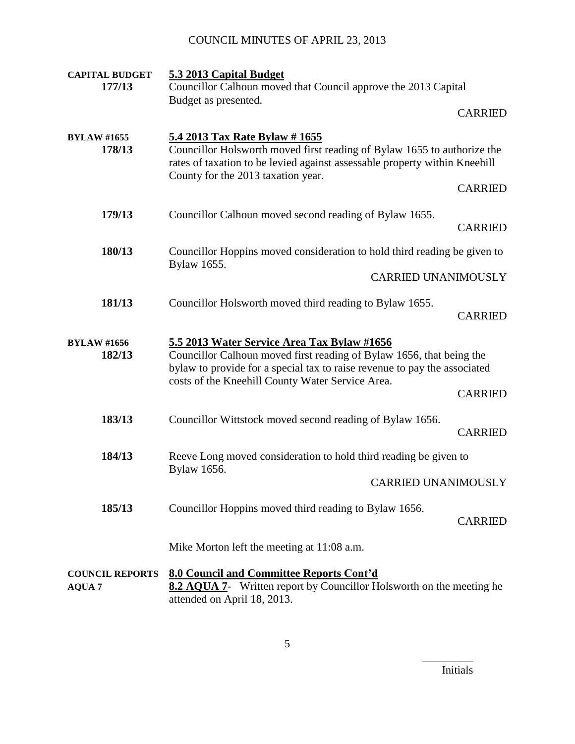| <b>CAPITAL BUDGET</b><br>177/13         | 5.3 2013 Capital Budget<br>Councillor Calhoun moved that Council approve the 2013 Capital                                                                                                                                                            |                |
|-----------------------------------------|------------------------------------------------------------------------------------------------------------------------------------------------------------------------------------------------------------------------------------------------------|----------------|
|                                         | Budget as presented.                                                                                                                                                                                                                                 | <b>CARRIED</b> |
| <b>BYLAW #1655</b><br>178/13            | 5.4 2013 Tax Rate Bylaw # 1655<br>Councillor Holsworth moved first reading of Bylaw 1655 to authorize the<br>rates of taxation to be levied against assessable property within Kneehill<br>County for the 2013 taxation year.                        | <b>CARRIED</b> |
| 179/13                                  | Councillor Calhoun moved second reading of Bylaw 1655.                                                                                                                                                                                               | <b>CARRIED</b> |
| 180/13                                  | Councillor Hoppins moved consideration to hold third reading be given to<br>Bylaw 1655.                                                                                                                                                              |                |
|                                         | <b>CARRIED UNANIMOUSLY</b>                                                                                                                                                                                                                           |                |
| 181/13                                  | Councillor Holsworth moved third reading to Bylaw 1655.                                                                                                                                                                                              | <b>CARRIED</b> |
| <b>BYLAW #1656</b><br>182/13            | 5.5 2013 Water Service Area Tax Bylaw #1656<br>Councillor Calhoun moved first reading of Bylaw 1656, that being the<br>bylaw to provide for a special tax to raise revenue to pay the associated<br>costs of the Kneehill County Water Service Area. | <b>CARRIED</b> |
| 183/13                                  | Councillor Wittstock moved second reading of Bylaw 1656.                                                                                                                                                                                             | <b>CARRIED</b> |
| 184/13                                  | Reeve Long moved consideration to hold third reading be given to<br>Bylaw 1656.                                                                                                                                                                      |                |
|                                         | <b>CARRIED UNANIMOUSLY</b>                                                                                                                                                                                                                           |                |
| 185/13                                  | Councillor Hoppins moved third reading to Bylaw 1656.                                                                                                                                                                                                | <b>CARRIED</b> |
|                                         | Mike Morton left the meeting at 11:08 a.m.                                                                                                                                                                                                           |                |
| <b>COUNCIL REPORTS</b><br><b>AQUA 7</b> | <b>8.0 Council and Committee Reports Cont'd</b><br>8.2 AQUA 7- Written report by Councillor Holsworth on the meeting he<br>attended on April 18, 2013.                                                                                               |                |

Initials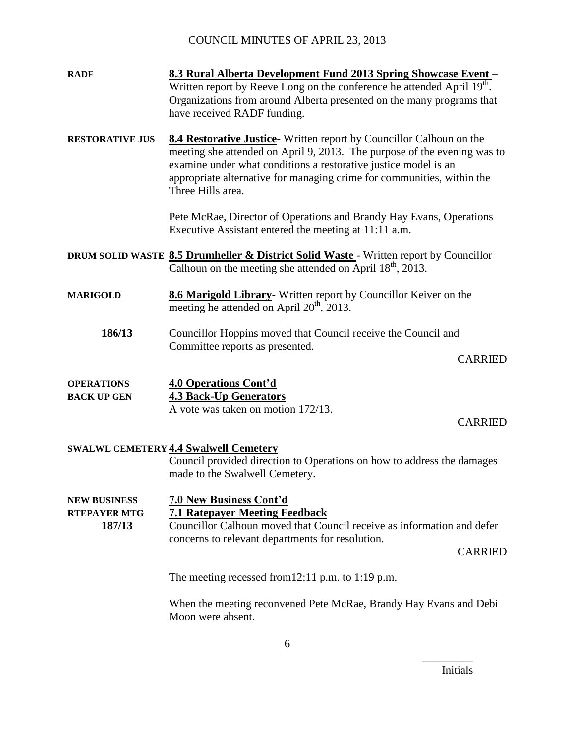- **RADF 8.3 Rural Alberta Development Fund 2013 Spring Showcase Event** Written report by Reeve Long on the conference he attended April  $19^{\text{th}}$ . Organizations from around Alberta presented on the many programs that have received RADF funding.
- **RESTORATIVE JUS 8.4 Restorative Justice** Written report by Councillor Calhoun on the meeting she attended on April 9, 2013. The purpose of the evening was to examine under what conditions a restorative justice model is an appropriate alternative for managing crime for communities, within the Three Hills area.

Pete McRae, Director of Operations and Brandy Hay Evans, Operations Executive Assistant entered the meeting at 11:11 a.m.

- **DRUM SOLID WASTE 8.5 Drumheller & District Solid Waste**  Written report by Councillor Calhoun on the meeting she attended on April  $18<sup>th</sup>$ , 2013.
- **MARIGOLD 8.6 Marigold Library** Written report by Councillor Keiver on the meeting he attended on April  $20^{th}$ ,  $2013$ .
	- **186/13** Councillor Hoppins moved that Council receive the Council and Committee reports as presented.

CARRIED

| <b>OPERATIONS</b>  | 4.0 Operations Cont'd              |
|--------------------|------------------------------------|
| <b>BACK UP GEN</b> | <b>4.3 Back-Up Generators</b>      |
|                    | A vote was taken on motion 172/13. |

CARRIED

#### **SWALWL CEMETERY 4.4 Swalwell Cemetery**

Council provided direction to Operations on how to address the damages made to the Swalwell Cemetery.

**NEW BUSINESS 7.0 New Business Cont'd RTEPAYER MTG 7.1 Ratepayer Meeting Feedback 187/13** Councillor Calhoun moved that Council receive as information and defer concerns to relevant departments for resolution.

CARRIED

The meeting recessed from12:11 p.m. to 1:19 p.m.

When the meeting reconvened Pete McRae, Brandy Hay Evans and Debi Moon were absent.

Initials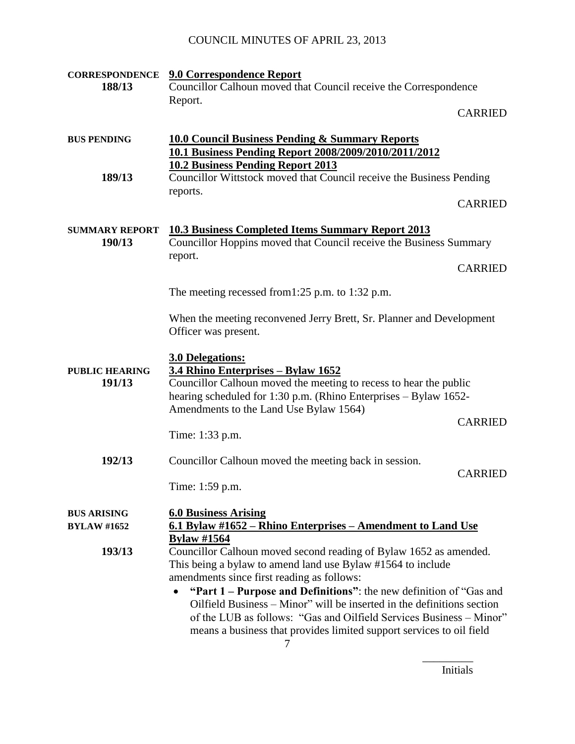| <b>CORRESPONDENCE</b><br>188/13          | 9.0 Correspondence Report<br>Councillor Calhoun moved that Council receive the Correspondence                                                                                                                                                                                                                                                                                                                                                                                      |                |
|------------------------------------------|------------------------------------------------------------------------------------------------------------------------------------------------------------------------------------------------------------------------------------------------------------------------------------------------------------------------------------------------------------------------------------------------------------------------------------------------------------------------------------|----------------|
|                                          | Report.                                                                                                                                                                                                                                                                                                                                                                                                                                                                            |                |
|                                          |                                                                                                                                                                                                                                                                                                                                                                                                                                                                                    | <b>CARRIED</b> |
| <b>BUS PENDING</b>                       | <b>10.0 Council Business Pending &amp; Summary Reports</b><br>10.1 Business Pending Report 2008/2009/2010/2011/2012<br><b>10.2 Business Pending Report 2013</b>                                                                                                                                                                                                                                                                                                                    |                |
| 189/13                                   | Councillor Wittstock moved that Council receive the Business Pending<br>reports.                                                                                                                                                                                                                                                                                                                                                                                                   |                |
|                                          |                                                                                                                                                                                                                                                                                                                                                                                                                                                                                    | <b>CARRIED</b> |
| <b>SUMMARY REPORT</b><br>190/13          | <b>10.3 Business Completed Items Summary Report 2013</b><br>Councillor Hoppins moved that Council receive the Business Summary<br>report.                                                                                                                                                                                                                                                                                                                                          |                |
|                                          |                                                                                                                                                                                                                                                                                                                                                                                                                                                                                    | <b>CARRIED</b> |
|                                          | The meeting recessed from 1:25 p.m. to 1:32 p.m.                                                                                                                                                                                                                                                                                                                                                                                                                                   |                |
|                                          | When the meeting reconvened Jerry Brett, Sr. Planner and Development<br>Officer was present.                                                                                                                                                                                                                                                                                                                                                                                       |                |
| <b>PUBLIC HEARING</b><br>191/13          | <b>3.0 Delegations:</b><br>3.4 Rhino Enterprises - Bylaw 1652<br>Councillor Calhoun moved the meeting to recess to hear the public<br>hearing scheduled for 1:30 p.m. (Rhino Enterprises – Bylaw 1652-<br>Amendments to the Land Use Bylaw 1564)                                                                                                                                                                                                                                   | <b>CARRIED</b> |
|                                          | Time: 1:33 p.m.                                                                                                                                                                                                                                                                                                                                                                                                                                                                    |                |
| 192/13                                   | Councillor Calhoun moved the meeting back in session.<br>Time: 1:59 p.m.                                                                                                                                                                                                                                                                                                                                                                                                           | <b>CARRIED</b> |
| <b>BUS ARISING</b><br><b>BYLAW #1652</b> | <b>6.0 Business Arising</b><br>6.1 Bylaw #1652 – Rhino Enterprises – Amendment to Land Use<br><b>Bylaw</b> #1564                                                                                                                                                                                                                                                                                                                                                                   |                |
| 193/13                                   | Councillor Calhoun moved second reading of Bylaw 1652 as amended.<br>This being a bylaw to amend land use Bylaw #1564 to include<br>amendments since first reading as follows:<br>"Part 1 – Purpose and Definitions": the new definition of "Gas and<br>Oilfield Business – Minor" will be inserted in the definitions section<br>of the LUB as follows: "Gas and Oilfield Services Business – Minor"<br>means a business that provides limited support services to oil field<br>7 |                |

Initials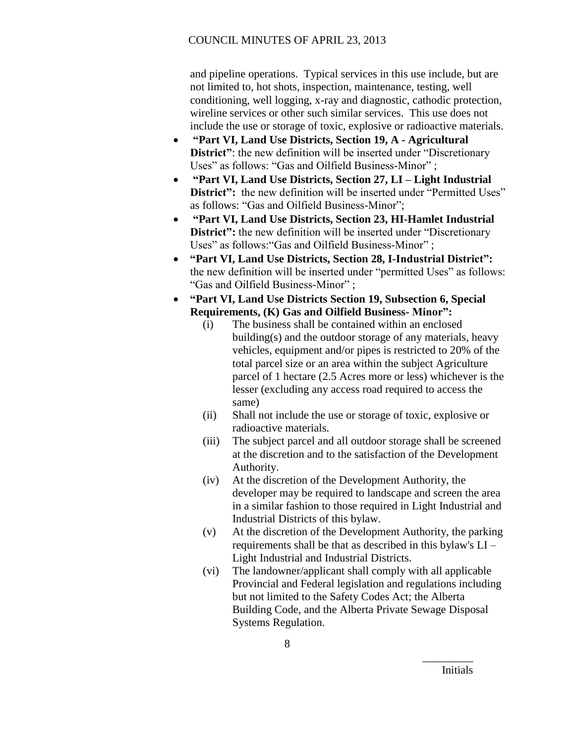and pipeline operations. Typical services in this use include, but are not limited to, hot shots, inspection, maintenance, testing, well conditioning, well logging, x-ray and diagnostic, cathodic protection, wireline services or other such similar services. This use does not include the use or storage of toxic, explosive or radioactive materials.

- **"Part VI, Land Use Districts, Section 19, A - Agricultural District**": the new definition will be inserted under "Discretionary" Uses" as follows: "Gas and Oilfield Business-Minor" ;
- **"Part VI, Land Use Districts, Section 27, LI – Light Industrial District":** the new definition will be inserted under "Permitted Uses" as follows: "Gas and Oilfield Business-Minor";
- **"Part VI, Land Use Districts, Section 23, HI-Hamlet Industrial District":** the new definition will be inserted under "Discretionary" Uses" as follows:"Gas and Oilfield Business-Minor" ;
- **"Part VI, Land Use Districts, Section 28, I-Industrial District":**  the new definition will be inserted under "permitted Uses" as follows: "Gas and Oilfield Business-Minor" ;
- **"Part VI, Land Use Districts Section 19, Subsection 6, Special Requirements, (K) Gas and Oilfield Business- Minor":**
	- (i) The business shall be contained within an enclosed building(s) and the outdoor storage of any materials, heavy vehicles, equipment and/or pipes is restricted to 20% of the total parcel size or an area within the subject Agriculture parcel of 1 hectare (2.5 Acres more or less) whichever is the lesser (excluding any access road required to access the same)
	- (ii) Shall not include the use or storage of toxic, explosive or radioactive materials.
	- (iii) The subject parcel and all outdoor storage shall be screened at the discretion and to the satisfaction of the Development Authority.
	- (iv) At the discretion of the Development Authority, the developer may be required to landscape and screen the area in a similar fashion to those required in Light Industrial and Industrial Districts of this bylaw.
	- (v) At the discretion of the Development Authority, the parking requirements shall be that as described in this bylaw's LI – Light Industrial and Industrial Districts.
	- (vi) The landowner/applicant shall comply with all applicable Provincial and Federal legislation and regulations including but not limited to the Safety Codes Act; the Alberta Building Code, and the Alberta Private Sewage Disposal Systems Regulation.

Initials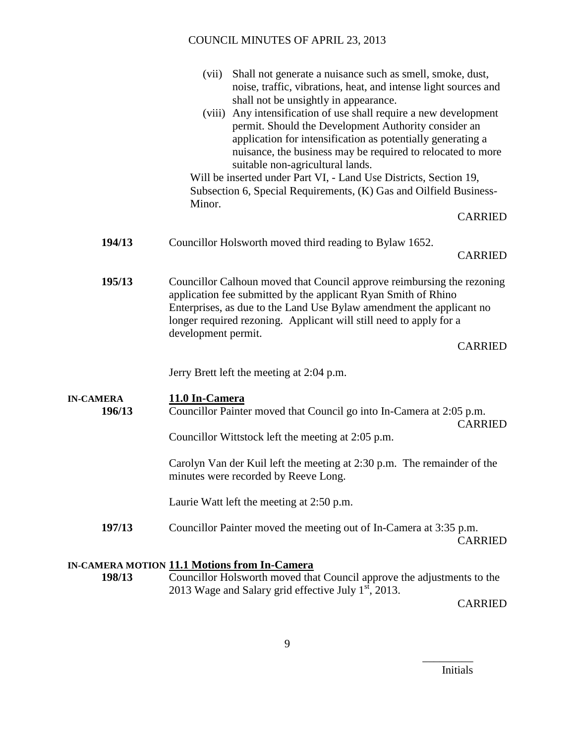|                            | (vii)<br>Shall not generate a nuisance such as smell, smoke, dust,<br>noise, traffic, vibrations, heat, and intense light sources and<br>shall not be unsightly in appearance.                                                                                                                                                                                                                                                                      |  |
|----------------------------|-----------------------------------------------------------------------------------------------------------------------------------------------------------------------------------------------------------------------------------------------------------------------------------------------------------------------------------------------------------------------------------------------------------------------------------------------------|--|
|                            | Any intensification of use shall require a new development<br>(viii)<br>permit. Should the Development Authority consider an<br>application for intensification as potentially generating a<br>nuisance, the business may be required to relocated to more<br>suitable non-agricultural lands.<br>Will be inserted under Part VI, - Land Use Districts, Section 19,<br>Subsection 6, Special Requirements, (K) Gas and Oilfield Business-<br>Minor. |  |
|                            | <b>CARRIED</b>                                                                                                                                                                                                                                                                                                                                                                                                                                      |  |
| 194/13                     | Councillor Holsworth moved third reading to Bylaw 1652.<br><b>CARRIED</b>                                                                                                                                                                                                                                                                                                                                                                           |  |
| 195/13                     | Councillor Calhoun moved that Council approve reimbursing the rezoning<br>application fee submitted by the applicant Ryan Smith of Rhino<br>Enterprises, as due to the Land Use Bylaw amendment the applicant no<br>longer required rezoning. Applicant will still need to apply for a<br>development permit.<br><b>CARRIED</b>                                                                                                                     |  |
|                            | Jerry Brett left the meeting at 2:04 p.m.                                                                                                                                                                                                                                                                                                                                                                                                           |  |
| <b>IN-CAMERA</b><br>196/13 | 11.0 In-Camera<br>Councillor Painter moved that Council go into In-Camera at 2:05 p.m.<br><b>CARRIED</b><br>Councillor Wittstock left the meeting at 2:05 p.m.                                                                                                                                                                                                                                                                                      |  |
|                            | Carolyn Van der Kuil left the meeting at 2:30 p.m. The remainder of the<br>minutes were recorded by Reeve Long.                                                                                                                                                                                                                                                                                                                                     |  |
|                            | Laurie Watt left the meeting at 2:50 p.m.                                                                                                                                                                                                                                                                                                                                                                                                           |  |
| 197/13                     | Councillor Painter moved the meeting out of In-Camera at 3:35 p.m.<br><b>CARRIED</b>                                                                                                                                                                                                                                                                                                                                                                |  |
|                            | IN.CAMERA MOTION 11 1 Motions from In.Camera                                                                                                                                                                                                                                                                                                                                                                                                        |  |

## **IN-CAMERA MOTION 11.1 Motions from In-Camera**

**198/13** Councillor Holsworth moved that Council approve the adjustments to the 2013 Wage and Salary grid effective July  $1^{st}$ , 2013.

CARRIED

Initials